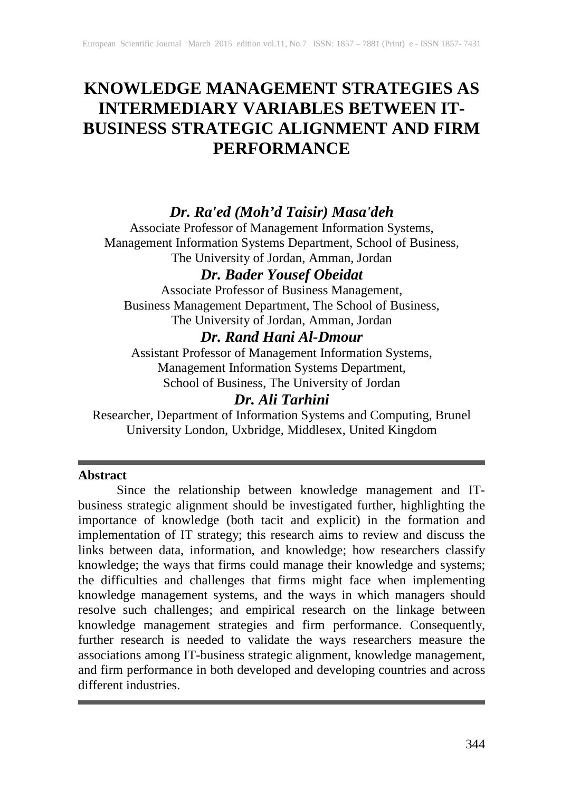# **KNOWLEDGE MANAGEMENT STRATEGIES AS INTERMEDIARY VARIABLES BETWEEN IT-BUSINESS STRATEGIC ALIGNMENT AND FIRM PERFORMANCE**

## *Dr. Ra'ed (Moh'd Taisir) Masa'deh*

Associate Professor of Management Information Systems, Management Information Systems Department, School of Business, The University of Jordan, Amman, Jordan

# *Dr. Bader Yousef Obeidat*

Associate Professor of Business Management, Business Management Department, The School of Business, The University of Jordan, Amman, Jordan

# *Dr. Rand Hani Al-Dmour*

Assistant Professor of Management Information Systems, Management Information Systems Department, School of Business, The University of Jordan

## *Dr. Ali Tarhini*

Researcher, Department of Information Systems and Computing, Brunel University London, Uxbridge, Middlesex, United Kingdom

## **Abstract**

Since the relationship between knowledge management and ITbusiness strategic alignment should be investigated further, highlighting the importance of knowledge (both tacit and explicit) in the formation and implementation of IT strategy; this research aims to review and discuss the links between data, information, and knowledge; how researchers classify knowledge; the ways that firms could manage their knowledge and systems; the difficulties and challenges that firms might face when implementing knowledge management systems, and the ways in which managers should resolve such challenges; and empirical research on the linkage between knowledge management strategies and firm performance. Consequently, further research is needed to validate the ways researchers measure the associations among IT-business strategic alignment, knowledge management, and firm performance in both developed and developing countries and across different industries.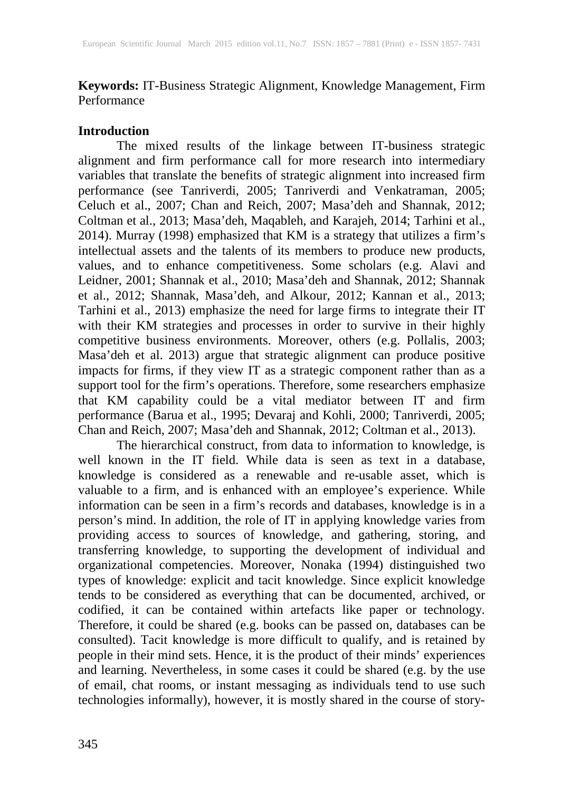## **Keywords:** IT-Business Strategic Alignment, Knowledge Management, Firm Performance

#### **Introduction**

The mixed results of the linkage between IT-business strategic alignment and firm performance call for more research into intermediary variables that translate the benefits of strategic alignment into increased firm performance (see Tanriverdi, 2005; Tanriverdi and Venkatraman, 2005; Celuch et al., 2007; Chan and Reich, 2007; Masa'deh and Shannak, 2012; Coltman et al., 2013; Masa'deh, Maqableh, and Karajeh, 2014; Tarhini et al., 2014). Murray (1998) emphasized that KM is a strategy that utilizes a firm's intellectual assets and the talents of its members to produce new products, values, and to enhance competitiveness. Some scholars (e.g. Alavi and Leidner, 2001; Shannak et al., 2010; Masa'deh and Shannak, 2012; Shannak et al., 2012; Shannak, Masa'deh, and Alkour, 2012; Kannan et al., 2013; Tarhini et al., 2013) emphasize the need for large firms to integrate their IT with their KM strategies and processes in order to survive in their highly competitive business environments. Moreover, others (e.g. Pollalis, 2003; Masa'deh et al. 2013) argue that strategic alignment can produce positive impacts for firms, if they view IT as a strategic component rather than as a support tool for the firm's operations. Therefore, some researchers emphasize that KM capability could be a vital mediator between IT and firm performance (Barua et al., 1995; Devaraj and Kohli, 2000; Tanriverdi, 2005; Chan and Reich, 2007; Masa'deh and Shannak, 2012; Coltman et al., 2013).

The hierarchical construct, from data to information to knowledge, is well known in the IT field. While data is seen as text in a database, knowledge is considered as a renewable and re-usable asset, which is valuable to a firm, and is enhanced with an employee's experience. While information can be seen in a firm's records and databases, knowledge is in a person's mind. In addition, the role of IT in applying knowledge varies from providing access to sources of knowledge, and gathering, storing, and transferring knowledge, to supporting the development of individual and organizational competencies. Moreover, Nonaka (1994) distinguished two types of knowledge: explicit and tacit knowledge. Since explicit knowledge tends to be considered as everything that can be documented, archived, or codified, it can be contained within artefacts like paper or technology. Therefore, it could be shared (e.g. books can be passed on, databases can be consulted). Tacit knowledge is more difficult to qualify, and is retained by people in their mind sets. Hence, it is the product of their minds' experiences and learning. Nevertheless, in some cases it could be shared (e.g. by the use of email, chat rooms, or instant messaging as individuals tend to use such technologies informally), however, it is mostly shared in the course of story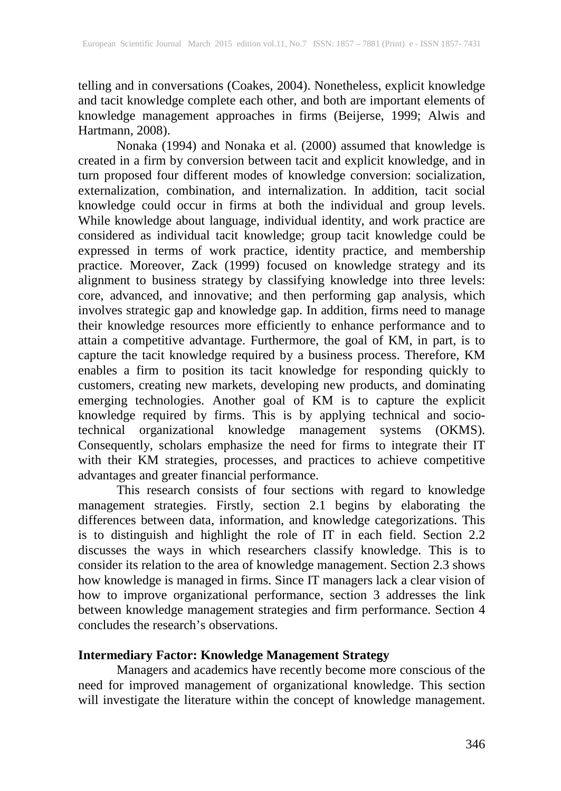telling and in conversations (Coakes, 2004). Nonetheless, explicit knowledge and tacit knowledge complete each other, and both are important elements of knowledge management approaches in firms (Beijerse, 1999; Alwis and Hartmann, 2008).

Nonaka (1994) and Nonaka et al. (2000) assumed that knowledge is created in a firm by conversion between tacit and explicit knowledge, and in turn proposed four different modes of knowledge conversion: socialization, externalization, combination, and internalization. In addition, tacit social knowledge could occur in firms at both the individual and group levels. While knowledge about language, individual identity, and work practice are considered as individual tacit knowledge; group tacit knowledge could be expressed in terms of work practice, identity practice, and membership practice. Moreover, Zack (1999) focused on knowledge strategy and its alignment to business strategy by classifying knowledge into three levels: core, advanced, and innovative; and then performing gap analysis, which involves strategic gap and knowledge gap. In addition, firms need to manage their knowledge resources more efficiently to enhance performance and to attain a competitive advantage. Furthermore, the goal of KM, in part, is to capture the tacit knowledge required by a business process. Therefore, KM enables a firm to position its tacit knowledge for responding quickly to customers, creating new markets, developing new products, and dominating emerging technologies. Another goal of KM is to capture the explicit knowledge required by firms. This is by applying technical and sociotechnical organizational knowledge management systems (OKMS). Consequently, scholars emphasize the need for firms to integrate their IT with their KM strategies, processes, and practices to achieve competitive advantages and greater financial performance.

This research consists of four sections with regard to knowledge management strategies. Firstly, section 2.1 begins by elaborating the differences between data, information, and knowledge categorizations. This is to distinguish and highlight the role of IT in each field. Section 2.2 discusses the ways in which researchers classify knowledge. This is to consider its relation to the area of knowledge management. Section 2.3 shows how knowledge is managed in firms. Since IT managers lack a clear vision of how to improve organizational performance, section 3 addresses the link between knowledge management strategies and firm performance. Section 4 concludes the research's observations.

## **Intermediary Factor: Knowledge Management Strategy**

Managers and academics have recently become more conscious of the need for improved management of organizational knowledge. This section will investigate the literature within the concept of knowledge management.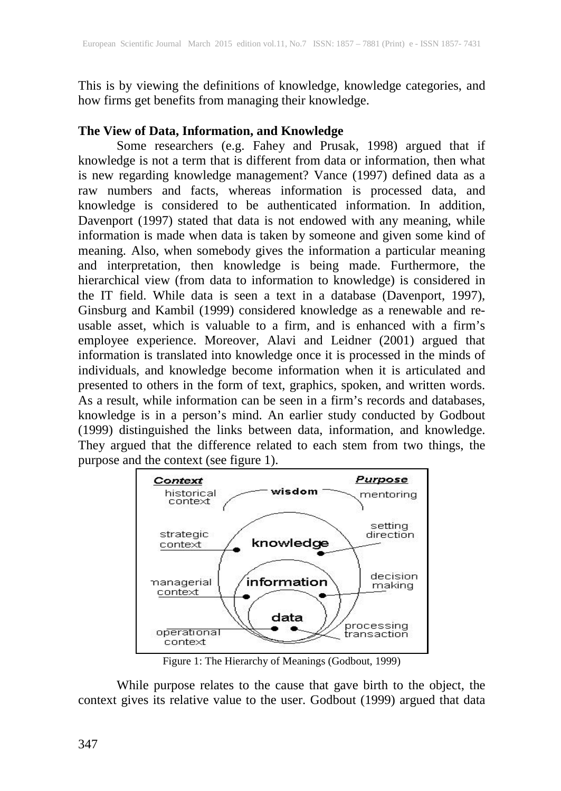This is by viewing the definitions of knowledge, knowledge categories, and how firms get benefits from managing their knowledge.

#### **The View of Data, Information, and Knowledge**

Some researchers (e.g. Fahey and Prusak, 1998) argued that if knowledge is not a term that is different from data or information, then what is new regarding knowledge management? Vance (1997) defined data as a raw numbers and facts, whereas information is processed data, and knowledge is considered to be authenticated information. In addition, Davenport (1997) stated that data is not endowed with any meaning, while information is made when data is taken by someone and given some kind of meaning. Also, when somebody gives the information a particular meaning and interpretation, then knowledge is being made. Furthermore, the hierarchical view (from data to information to knowledge) is considered in the IT field. While data is seen a text in a database (Davenport, 1997), Ginsburg and Kambil (1999) considered knowledge as a renewable and reusable asset, which is valuable to a firm, and is enhanced with a firm's employee experience. Moreover, Alavi and Leidner (2001) argued that information is translated into knowledge once it is processed in the minds of individuals, and knowledge become information when it is articulated and presented to others in the form of text, graphics, spoken, and written words. As a result, while information can be seen in a firm's records and databases, knowledge is in a person's mind. An earlier study conducted by Godbout (1999) distinguished the links between data, information, and knowledge. They argued that the difference related to each stem from two things, the purpose and the context (see figure 1).



Figure 1: The Hierarchy of Meanings (Godbout, 1999)

While purpose relates to the cause that gave birth to the object, the context gives its relative value to the user. Godbout (1999) argued that data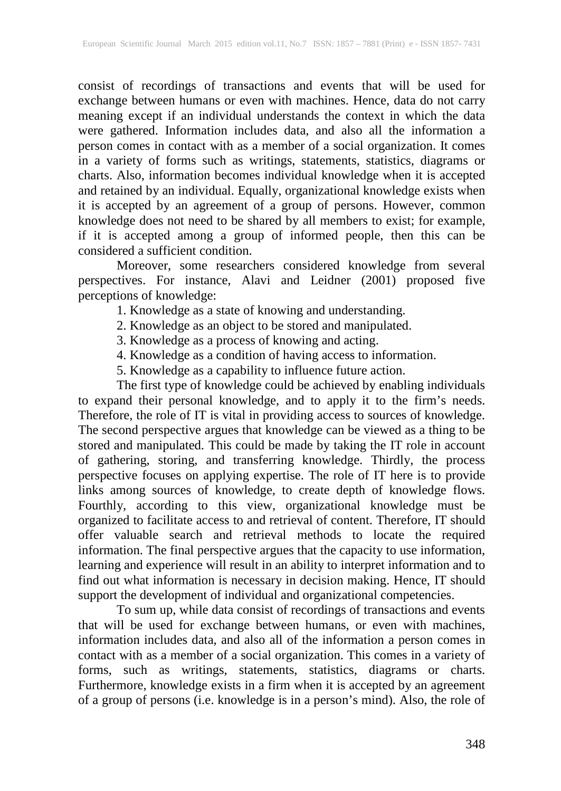consist of recordings of transactions and events that will be used for exchange between humans or even with machines. Hence, data do not carry meaning except if an individual understands the context in which the data were gathered. Information includes data, and also all the information a person comes in contact with as a member of a social organization. It comes in a variety of forms such as writings, statements, statistics, diagrams or charts. Also, information becomes individual knowledge when it is accepted and retained by an individual. Equally, organizational knowledge exists when it is accepted by an agreement of a group of persons. However, common knowledge does not need to be shared by all members to exist; for example, if it is accepted among a group of informed people, then this can be considered a sufficient condition.

Moreover, some researchers considered knowledge from several perspectives. For instance, Alavi and Leidner (2001) proposed five perceptions of knowledge:

- 1. Knowledge as a state of knowing and understanding.
- 2. Knowledge as an object to be stored and manipulated.
- 3. Knowledge as a process of knowing and acting.
- 4. Knowledge as a condition of having access to information.
- 5. Knowledge as a capability to influence future action.

The first type of knowledge could be achieved by enabling individuals to expand their personal knowledge, and to apply it to the firm's needs. Therefore, the role of IT is vital in providing access to sources of knowledge. The second perspective argues that knowledge can be viewed as a thing to be stored and manipulated. This could be made by taking the IT role in account of gathering, storing, and transferring knowledge. Thirdly, the process perspective focuses on applying expertise. The role of IT here is to provide links among sources of knowledge, to create depth of knowledge flows. Fourthly, according to this view, organizational knowledge must be organized to facilitate access to and retrieval of content. Therefore, IT should offer valuable search and retrieval methods to locate the required information. The final perspective argues that the capacity to use information, learning and experience will result in an ability to interpret information and to find out what information is necessary in decision making. Hence, IT should support the development of individual and organizational competencies.

To sum up, while data consist of recordings of transactions and events that will be used for exchange between humans, or even with machines, information includes data, and also all of the information a person comes in contact with as a member of a social organization. This comes in a variety of forms, such as writings, statements, statistics, diagrams or charts. Furthermore, knowledge exists in a firm when it is accepted by an agreement of a group of persons (i.e. knowledge is in a person's mind). Also, the role of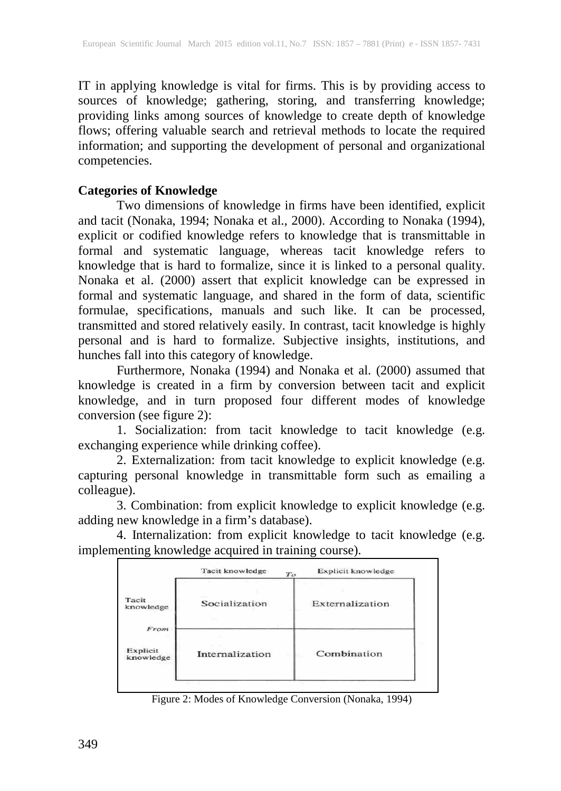IT in applying knowledge is vital for firms. This is by providing access to sources of knowledge; gathering, storing, and transferring knowledge; providing links among sources of knowledge to create depth of knowledge flows; offering valuable search and retrieval methods to locate the required information; and supporting the development of personal and organizational competencies.

### **Categories of Knowledge**

Two dimensions of knowledge in firms have been identified, explicit and tacit (Nonaka, 1994; Nonaka et al., 2000). According to Nonaka (1994), explicit or codified knowledge refers to knowledge that is transmittable in formal and systematic language, whereas tacit knowledge refers to knowledge that is hard to formalize, since it is linked to a personal quality. Nonaka et al. (2000) assert that explicit knowledge can be expressed in formal and systematic language, and shared in the form of data, scientific formulae, specifications, manuals and such like. It can be processed, transmitted and stored relatively easily. In contrast, tacit knowledge is highly personal and is hard to formalize. Subjective insights, institutions, and hunches fall into this category of knowledge.

Furthermore, Nonaka (1994) and Nonaka et al. (2000) assumed that knowledge is created in a firm by conversion between tacit and explicit knowledge, and in turn proposed four different modes of knowledge conversion (see figure 2):

1. Socialization: from tacit knowledge to tacit knowledge (e.g. exchanging experience while drinking coffee).

2. Externalization: from tacit knowledge to explicit knowledge (e.g. capturing personal knowledge in transmittable form such as emailing a colleague).

3. Combination: from explicit knowledge to explicit knowledge (e.g. adding new knowledge in a firm's database).

4. Internalization: from explicit knowledge to tacit knowledge (e.g. implementing knowledge acquired in training course).

| Socialization<br>$\sim$           | Externalization |
|-----------------------------------|-----------------|
| <b>COLLEGE</b><br>Internalization | Combination     |
|                                   |                 |

Figure 2: Modes of Knowledge Conversion (Nonaka, 1994)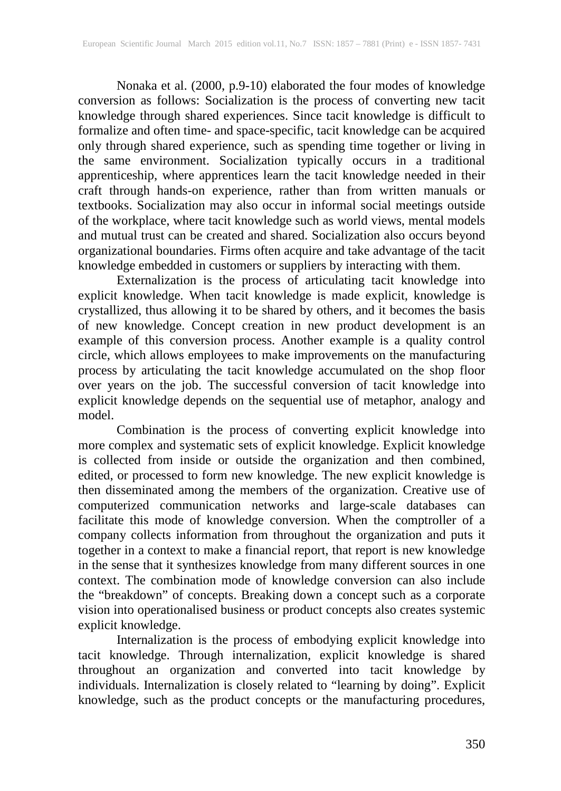Nonaka et al. (2000, p.9-10) elaborated the four modes of knowledge conversion as follows: Socialization is the process of converting new tacit knowledge through shared experiences. Since tacit knowledge is difficult to formalize and often time- and space-specific, tacit knowledge can be acquired only through shared experience, such as spending time together or living in the same environment. Socialization typically occurs in a traditional apprenticeship, where apprentices learn the tacit knowledge needed in their craft through hands-on experience, rather than from written manuals or textbooks. Socialization may also occur in informal social meetings outside of the workplace, where tacit knowledge such as world views, mental models and mutual trust can be created and shared. Socialization also occurs beyond organizational boundaries. Firms often acquire and take advantage of the tacit knowledge embedded in customers or suppliers by interacting with them.

Externalization is the process of articulating tacit knowledge into explicit knowledge. When tacit knowledge is made explicit, knowledge is crystallized, thus allowing it to be shared by others, and it becomes the basis of new knowledge. Concept creation in new product development is an example of this conversion process. Another example is a quality control circle, which allows employees to make improvements on the manufacturing process by articulating the tacit knowledge accumulated on the shop floor over years on the job. The successful conversion of tacit knowledge into explicit knowledge depends on the sequential use of metaphor, analogy and model.

Combination is the process of converting explicit knowledge into more complex and systematic sets of explicit knowledge. Explicit knowledge is collected from inside or outside the organization and then combined, edited, or processed to form new knowledge. The new explicit knowledge is then disseminated among the members of the organization. Creative use of computerized communication networks and large-scale databases can facilitate this mode of knowledge conversion. When the comptroller of a company collects information from throughout the organization and puts it together in a context to make a financial report, that report is new knowledge in the sense that it synthesizes knowledge from many different sources in one context. The combination mode of knowledge conversion can also include the "breakdown" of concepts. Breaking down a concept such as a corporate vision into operationalised business or product concepts also creates systemic explicit knowledge.

Internalization is the process of embodying explicit knowledge into tacit knowledge. Through internalization, explicit knowledge is shared throughout an organization and converted into tacit knowledge by individuals. Internalization is closely related to "learning by doing". Explicit knowledge, such as the product concepts or the manufacturing procedures,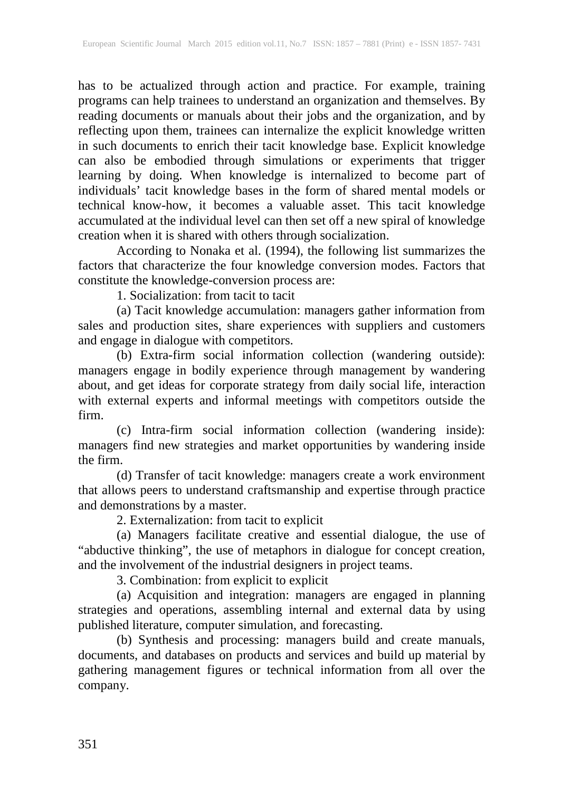has to be actualized through action and practice. For example, training programs can help trainees to understand an organization and themselves. By reading documents or manuals about their jobs and the organization, and by reflecting upon them, trainees can internalize the explicit knowledge written in such documents to enrich their tacit knowledge base. Explicit knowledge can also be embodied through simulations or experiments that trigger learning by doing. When knowledge is internalized to become part of individuals' tacit knowledge bases in the form of shared mental models or technical know-how, it becomes a valuable asset. This tacit knowledge accumulated at the individual level can then set off a new spiral of knowledge creation when it is shared with others through socialization.

According to Nonaka et al. (1994), the following list summarizes the factors that characterize the four knowledge conversion modes. Factors that constitute the knowledge-conversion process are:

1. Socialization: from tacit to tacit

(a) Tacit knowledge accumulation: managers gather information from sales and production sites, share experiences with suppliers and customers and engage in dialogue with competitors.

(b) Extra-firm social information collection (wandering outside): managers engage in bodily experience through management by wandering about, and get ideas for corporate strategy from daily social life, interaction with external experts and informal meetings with competitors outside the firm.

(c) Intra-firm social information collection (wandering inside): managers find new strategies and market opportunities by wandering inside the firm.

(d) Transfer of tacit knowledge: managers create a work environment that allows peers to understand craftsmanship and expertise through practice and demonstrations by a master.

2. Externalization: from tacit to explicit

(a) Managers facilitate creative and essential dialogue, the use of "abductive thinking", the use of metaphors in dialogue for concept creation, and the involvement of the industrial designers in project teams.

3. Combination: from explicit to explicit

(a) Acquisition and integration: managers are engaged in planning strategies and operations, assembling internal and external data by using published literature, computer simulation, and forecasting.

(b) Synthesis and processing: managers build and create manuals, documents, and databases on products and services and build up material by gathering management figures or technical information from all over the company.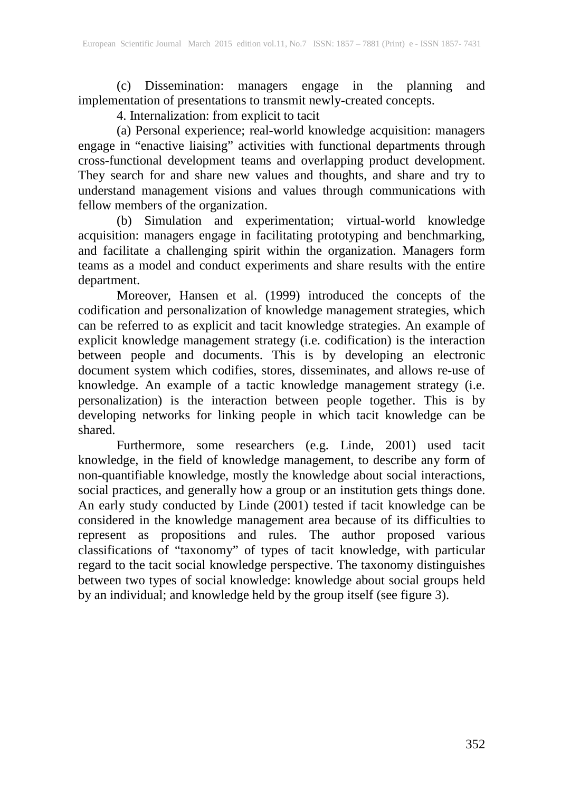(c) Dissemination: managers engage in the planning and implementation of presentations to transmit newly-created concepts.

4. Internalization: from explicit to tacit

(a) Personal experience; real-world knowledge acquisition: managers engage in "enactive liaising" activities with functional departments through cross-functional development teams and overlapping product development. They search for and share new values and thoughts, and share and try to understand management visions and values through communications with fellow members of the organization.

(b) Simulation and experimentation; virtual-world knowledge acquisition: managers engage in facilitating prototyping and benchmarking, and facilitate a challenging spirit within the organization. Managers form teams as a model and conduct experiments and share results with the entire department.

Moreover, Hansen et al. (1999) introduced the concepts of the codification and personalization of knowledge management strategies, which can be referred to as explicit and tacit knowledge strategies. An example of explicit knowledge management strategy (i.e. codification) is the interaction between people and documents. This is by developing an electronic document system which codifies, stores, disseminates, and allows re-use of knowledge. An example of a tactic knowledge management strategy (i.e. personalization) is the interaction between people together. This is by developing networks for linking people in which tacit knowledge can be shared.

Furthermore, some researchers (e.g. Linde, 2001) used tacit knowledge, in the field of knowledge management, to describe any form of non-quantifiable knowledge, mostly the knowledge about social interactions, social practices, and generally how a group or an institution gets things done. An early study conducted by Linde (2001) tested if tacit knowledge can be considered in the knowledge management area because of its difficulties to represent as propositions and rules. The author proposed various classifications of "taxonomy" of types of tacit knowledge, with particular regard to the tacit social knowledge perspective. The taxonomy distinguishes between two types of social knowledge: knowledge about social groups held by an individual; and knowledge held by the group itself (see figure 3).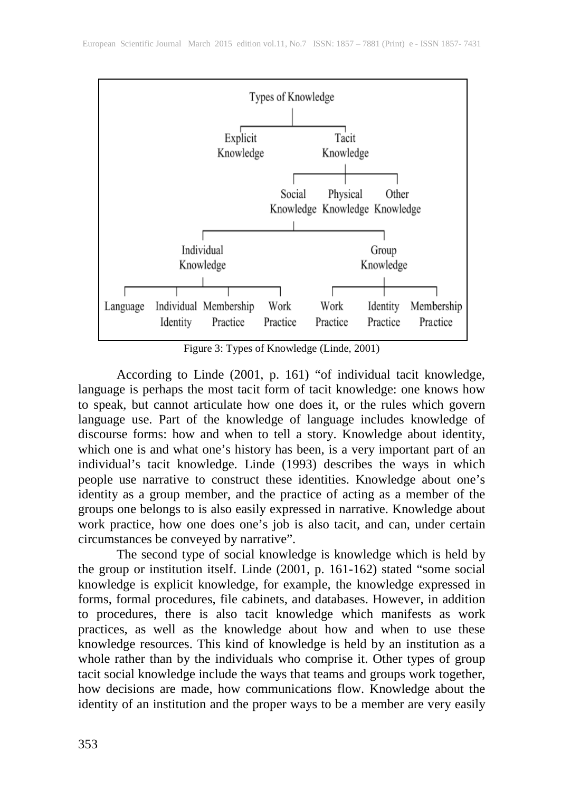

Figure 3: Types of Knowledge (Linde, 2001)

According to Linde (2001, p. 161) "of individual tacit knowledge, language is perhaps the most tacit form of tacit knowledge: one knows how to speak, but cannot articulate how one does it, or the rules which govern language use. Part of the knowledge of language includes knowledge of discourse forms: how and when to tell a story. Knowledge about identity, which one is and what one's history has been, is a very important part of an individual's tacit knowledge. Linde (1993) describes the ways in which people use narrative to construct these identities. Knowledge about one's identity as a group member, and the practice of acting as a member of the groups one belongs to is also easily expressed in narrative. Knowledge about work practice, how one does one's job is also tacit, and can, under certain circumstances be conveyed by narrative".

The second type of social knowledge is knowledge which is held by the group or institution itself. Linde (2001, p. 161-162) stated "some social knowledge is explicit knowledge, for example, the knowledge expressed in forms, formal procedures, file cabinets, and databases. However, in addition to procedures, there is also tacit knowledge which manifests as work practices, as well as the knowledge about how and when to use these knowledge resources. This kind of knowledge is held by an institution as a whole rather than by the individuals who comprise it. Other types of group tacit social knowledge include the ways that teams and groups work together, how decisions are made, how communications flow. Knowledge about the identity of an institution and the proper ways to be a member are very easily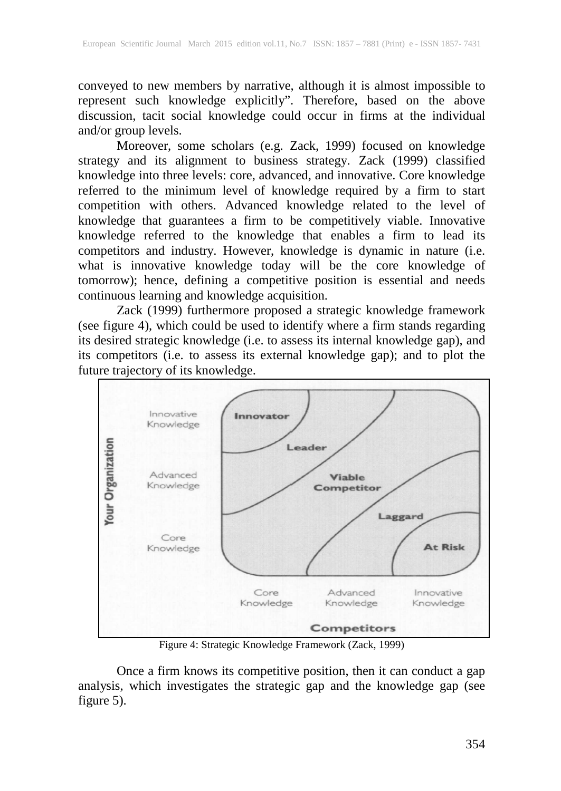conveyed to new members by narrative, although it is almost impossible to represent such knowledge explicitly". Therefore, based on the above discussion, tacit social knowledge could occur in firms at the individual and/or group levels.

Moreover, some scholars (e.g. Zack, 1999) focused on knowledge strategy and its alignment to business strategy. Zack (1999) classified knowledge into three levels: core, advanced, and innovative. Core knowledge referred to the minimum level of knowledge required by a firm to start competition with others. Advanced knowledge related to the level of knowledge that guarantees a firm to be competitively viable. Innovative knowledge referred to the knowledge that enables a firm to lead its competitors and industry. However, knowledge is dynamic in nature (i.e. what is innovative knowledge today will be the core knowledge of tomorrow); hence, defining a competitive position is essential and needs continuous learning and knowledge acquisition.

Zack (1999) furthermore proposed a strategic knowledge framework (see figure 4), which could be used to identify where a firm stands regarding its desired strategic knowledge (i.e. to assess its internal knowledge gap), and its competitors (i.e. to assess its external knowledge gap); and to plot the future trajectory of its knowledge.



Figure 4: Strategic Knowledge Framework (Zack, 1999)

Once a firm knows its competitive position, then it can conduct a gap analysis, which investigates the strategic gap and the knowledge gap (see figure 5).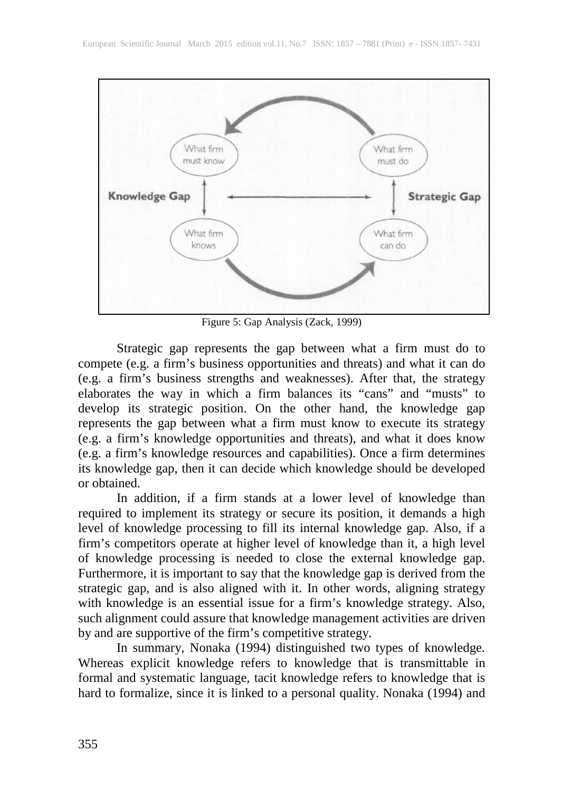

Figure 5: Gap Analysis (Zack, 1999)

Strategic gap represents the gap between what a firm must do to compete (e.g. a firm's business opportunities and threats) and what it can do (e.g. a firm's business strengths and weaknesses). After that, the strategy elaborates the way in which a firm balances its "cans" and "musts" to develop its strategic position. On the other hand, the knowledge gap represents the gap between what a firm must know to execute its strategy (e.g. a firm's knowledge opportunities and threats), and what it does know (e.g. a firm's knowledge resources and capabilities). Once a firm determines its knowledge gap, then it can decide which knowledge should be developed or obtained.

In addition, if a firm stands at a lower level of knowledge than required to implement its strategy or secure its position, it demands a high level of knowledge processing to fill its internal knowledge gap. Also, if a firm's competitors operate at higher level of knowledge than it, a high level of knowledge processing is needed to close the external knowledge gap. Furthermore, it is important to say that the knowledge gap is derived from the strategic gap, and is also aligned with it. In other words, aligning strategy with knowledge is an essential issue for a firm's knowledge strategy. Also, such alignment could assure that knowledge management activities are driven by and are supportive of the firm's competitive strategy.

In summary, Nonaka (1994) distinguished two types of knowledge. Whereas explicit knowledge refers to knowledge that is transmittable in formal and systematic language, tacit knowledge refers to knowledge that is hard to formalize, since it is linked to a personal quality. Nonaka (1994) and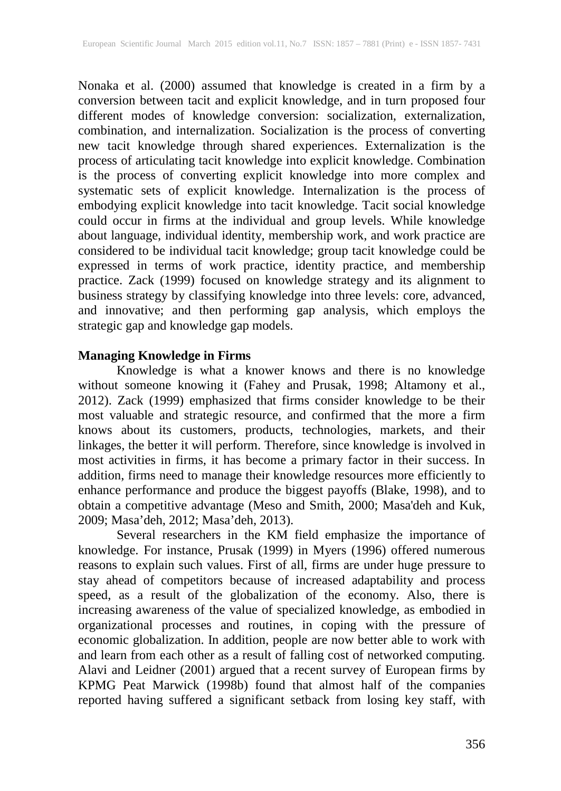Nonaka et al. (2000) assumed that knowledge is created in a firm by a conversion between tacit and explicit knowledge, and in turn proposed four different modes of knowledge conversion: socialization, externalization, combination, and internalization. Socialization is the process of converting new tacit knowledge through shared experiences. Externalization is the process of articulating tacit knowledge into explicit knowledge. Combination is the process of converting explicit knowledge into more complex and systematic sets of explicit knowledge. Internalization is the process of embodying explicit knowledge into tacit knowledge. Tacit social knowledge could occur in firms at the individual and group levels. While knowledge about language, individual identity, membership work, and work practice are considered to be individual tacit knowledge; group tacit knowledge could be expressed in terms of work practice, identity practice, and membership practice. Zack (1999) focused on knowledge strategy and its alignment to business strategy by classifying knowledge into three levels: core, advanced, and innovative; and then performing gap analysis, which employs the strategic gap and knowledge gap models.

#### **Managing Knowledge in Firms**

Knowledge is what a knower knows and there is no knowledge without someone knowing it (Fahey and Prusak, 1998; Altamony et al., 2012). Zack (1999) emphasized that firms consider knowledge to be their most valuable and strategic resource, and confirmed that the more a firm knows about its customers, products, technologies, markets, and their linkages, the better it will perform. Therefore, since knowledge is involved in most activities in firms, it has become a primary factor in their success. In addition, firms need to manage their knowledge resources more efficiently to enhance performance and produce the biggest payoffs (Blake, 1998), and to obtain a competitive advantage (Meso and Smith, 2000; Masa'deh and Kuk, 2009; Masa'deh, 2012; Masa'deh, 2013).

Several researchers in the KM field emphasize the importance of knowledge. For instance, Prusak (1999) in Myers (1996) offered numerous reasons to explain such values. First of all, firms are under huge pressure to stay ahead of competitors because of increased adaptability and process speed, as a result of the globalization of the economy. Also, there is increasing awareness of the value of specialized knowledge, as embodied in organizational processes and routines, in coping with the pressure of economic globalization. In addition, people are now better able to work with and learn from each other as a result of falling cost of networked computing. Alavi and Leidner (2001) argued that a recent survey of European firms by KPMG Peat Marwick (1998b) found that almost half of the companies reported having suffered a significant setback from losing key staff, with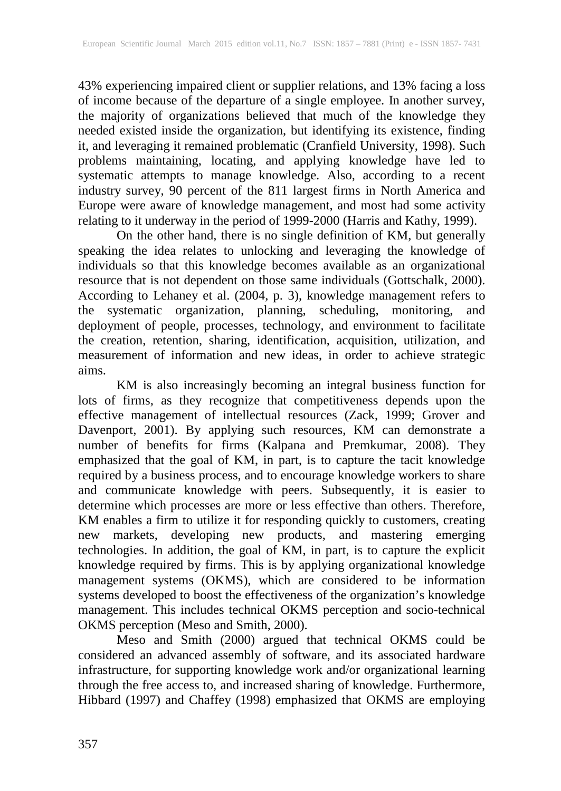43% experiencing impaired client or supplier relations, and 13% facing a loss of income because of the departure of a single employee. In another survey, the majority of organizations believed that much of the knowledge they needed existed inside the organization, but identifying its existence, finding it, and leveraging it remained problematic (Cranfield University, 1998). Such problems maintaining, locating, and applying knowledge have led to systematic attempts to manage knowledge. Also, according to a recent industry survey, 90 percent of the 811 largest firms in North America and Europe were aware of knowledge management, and most had some activity relating to it underway in the period of 1999-2000 (Harris and Kathy, 1999).

On the other hand, there is no single definition of KM, but generally speaking the idea relates to unlocking and leveraging the knowledge of individuals so that this knowledge becomes available as an organizational resource that is not dependent on those same individuals (Gottschalk, 2000). According to Lehaney et al. (2004, p. 3), knowledge management refers to the systematic organization, planning, scheduling, monitoring, and deployment of people, processes, technology, and environment to facilitate the creation, retention, sharing, identification, acquisition, utilization, and measurement of information and new ideas, in order to achieve strategic aims.

KM is also increasingly becoming an integral business function for lots of firms, as they recognize that competitiveness depends upon the effective management of intellectual resources (Zack, 1999; Grover and Davenport, 2001). By applying such resources, KM can demonstrate a number of benefits for firms (Kalpana and Premkumar, 2008). They emphasized that the goal of KM, in part, is to capture the tacit knowledge required by a business process, and to encourage knowledge workers to share and communicate knowledge with peers. Subsequently, it is easier to determine which processes are more or less effective than others. Therefore, KM enables a firm to utilize it for responding quickly to customers, creating new markets, developing new products, and mastering emerging technologies. In addition, the goal of KM, in part, is to capture the explicit knowledge required by firms. This is by applying organizational knowledge management systems (OKMS), which are considered to be information systems developed to boost the effectiveness of the organization's knowledge management. This includes technical OKMS perception and socio-technical OKMS perception (Meso and Smith, 2000).

Meso and Smith (2000) argued that technical OKMS could be considered an advanced assembly of software, and its associated hardware infrastructure, for supporting knowledge work and/or organizational learning through the free access to, and increased sharing of knowledge. Furthermore, Hibbard (1997) and Chaffey (1998) emphasized that OKMS are employing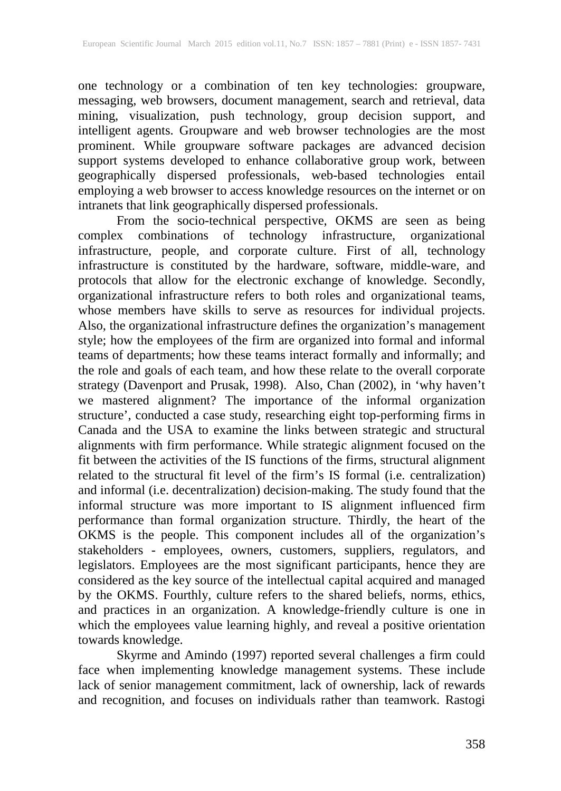one technology or a combination of ten key technologies: groupware, messaging, web browsers, document management, search and retrieval, data mining, visualization, push technology, group decision support, and intelligent agents. Groupware and web browser technologies are the most prominent. While groupware software packages are advanced decision support systems developed to enhance collaborative group work, between geographically dispersed professionals, web-based technologies entail employing a web browser to access knowledge resources on the internet or on intranets that link geographically dispersed professionals.

From the socio-technical perspective, OKMS are seen as being complex combinations of technology infrastructure, organizational infrastructure, people, and corporate culture. First of all, technology infrastructure is constituted by the hardware, software, middle-ware, and protocols that allow for the electronic exchange of knowledge. Secondly, organizational infrastructure refers to both roles and organizational teams, whose members have skills to serve as resources for individual projects. Also, the organizational infrastructure defines the organization's management style; how the employees of the firm are organized into formal and informal teams of departments; how these teams interact formally and informally; and the role and goals of each team, and how these relate to the overall corporate strategy (Davenport and Prusak, 1998). Also, Chan (2002), in 'why haven't we mastered alignment? The importance of the informal organization structure', conducted a case study, researching eight top-performing firms in Canada and the USA to examine the links between strategic and structural alignments with firm performance. While strategic alignment focused on the fit between the activities of the IS functions of the firms, structural alignment related to the structural fit level of the firm's IS formal (i.e. centralization) and informal (i.e. decentralization) decision-making. The study found that the informal structure was more important to IS alignment influenced firm performance than formal organization structure. Thirdly, the heart of the OKMS is the people. This component includes all of the organization's stakeholders - employees, owners, customers, suppliers, regulators, and legislators. Employees are the most significant participants, hence they are considered as the key source of the intellectual capital acquired and managed by the OKMS. Fourthly, culture refers to the shared beliefs, norms, ethics, and practices in an organization. A knowledge-friendly culture is one in which the employees value learning highly, and reveal a positive orientation towards knowledge.

Skyrme and Amindo (1997) reported several challenges a firm could face when implementing knowledge management systems. These include lack of senior management commitment, lack of ownership, lack of rewards and recognition, and focuses on individuals rather than teamwork. Rastogi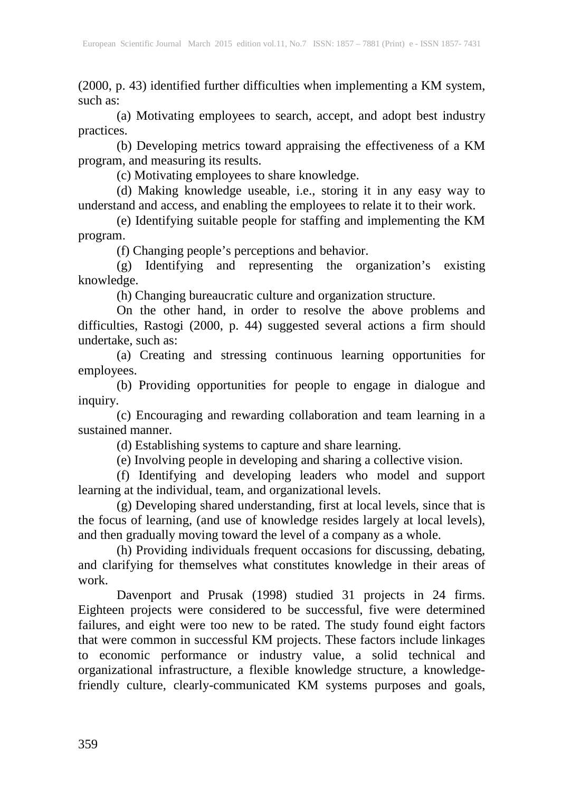(2000, p. 43) identified further difficulties when implementing a KM system, such as:

(a) Motivating employees to search, accept, and adopt best industry practices.

(b) Developing metrics toward appraising the effectiveness of a KM program, and measuring its results.

(c) Motivating employees to share knowledge.

(d) Making knowledge useable, i.e., storing it in any easy way to understand and access, and enabling the employees to relate it to their work.

(e) Identifying suitable people for staffing and implementing the KM program.

(f) Changing people's perceptions and behavior.

 $(g)$  Identifying and representing the organization's existing knowledge.

(h) Changing bureaucratic culture and organization structure.

On the other hand, in order to resolve the above problems and difficulties, Rastogi (2000, p. 44) suggested several actions a firm should undertake, such as:

(a) Creating and stressing continuous learning opportunities for employees.

(b) Providing opportunities for people to engage in dialogue and inquiry.

(c) Encouraging and rewarding collaboration and team learning in a sustained manner.

(d) Establishing systems to capture and share learning.

(e) Involving people in developing and sharing a collective vision.

(f) Identifying and developing leaders who model and support learning at the individual, team, and organizational levels.

(g) Developing shared understanding, first at local levels, since that is the focus of learning, (and use of knowledge resides largely at local levels), and then gradually moving toward the level of a company as a whole.

(h) Providing individuals frequent occasions for discussing, debating, and clarifying for themselves what constitutes knowledge in their areas of work.

Davenport and Prusak (1998) studied 31 projects in 24 firms. Eighteen projects were considered to be successful, five were determined failures, and eight were too new to be rated. The study found eight factors that were common in successful KM projects. These factors include linkages to economic performance or industry value, a solid technical and organizational infrastructure, a flexible knowledge structure, a knowledgefriendly culture, clearly-communicated KM systems purposes and goals,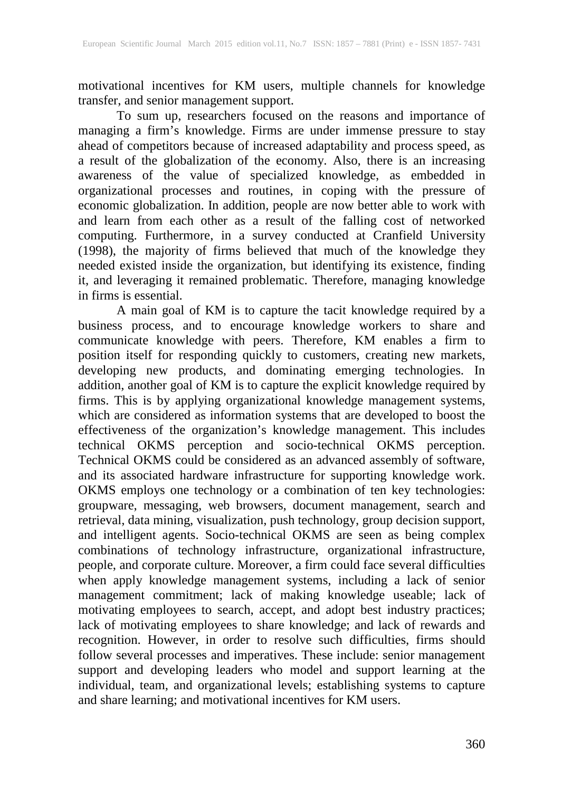motivational incentives for KM users, multiple channels for knowledge transfer, and senior management support.

To sum up, researchers focused on the reasons and importance of managing a firm's knowledge. Firms are under immense pressure to stay ahead of competitors because of increased adaptability and process speed, as a result of the globalization of the economy. Also, there is an increasing awareness of the value of specialized knowledge, as embedded in organizational processes and routines, in coping with the pressure of economic globalization. In addition, people are now better able to work with and learn from each other as a result of the falling cost of networked computing. Furthermore, in a survey conducted at Cranfield University (1998), the majority of firms believed that much of the knowledge they needed existed inside the organization, but identifying its existence, finding it, and leveraging it remained problematic. Therefore, managing knowledge in firms is essential.

A main goal of KM is to capture the tacit knowledge required by a business process, and to encourage knowledge workers to share and communicate knowledge with peers. Therefore, KM enables a firm to position itself for responding quickly to customers, creating new markets, developing new products, and dominating emerging technologies. In addition, another goal of KM is to capture the explicit knowledge required by firms. This is by applying organizational knowledge management systems, which are considered as information systems that are developed to boost the effectiveness of the organization's knowledge management. This includes technical OKMS perception and socio-technical OKMS perception. Technical OKMS could be considered as an advanced assembly of software, and its associated hardware infrastructure for supporting knowledge work. OKMS employs one technology or a combination of ten key technologies: groupware, messaging, web browsers, document management, search and retrieval, data mining, visualization, push technology, group decision support, and intelligent agents. Socio-technical OKMS are seen as being complex combinations of technology infrastructure, organizational infrastructure, people, and corporate culture. Moreover, a firm could face several difficulties when apply knowledge management systems, including a lack of senior management commitment; lack of making knowledge useable; lack of motivating employees to search, accept, and adopt best industry practices; lack of motivating employees to share knowledge; and lack of rewards and recognition. However, in order to resolve such difficulties, firms should follow several processes and imperatives. These include: senior management support and developing leaders who model and support learning at the individual, team, and organizational levels; establishing systems to capture and share learning; and motivational incentives for KM users.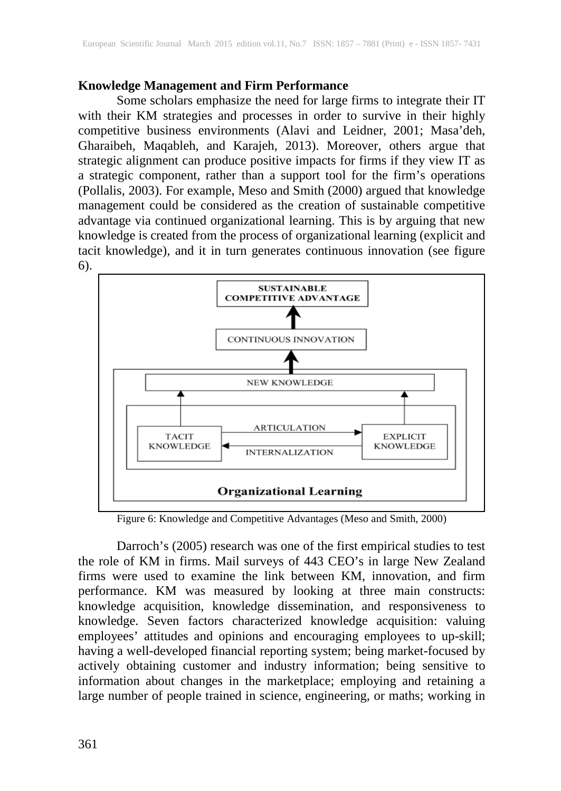#### **Knowledge Management and Firm Performance**

Some scholars emphasize the need for large firms to integrate their IT with their KM strategies and processes in order to survive in their highly competitive business environments (Alavi and Leidner, 2001; Masa'deh, Gharaibeh, Maqableh, and Karajeh, 2013). Moreover, others argue that strategic alignment can produce positive impacts for firms if they view IT as a strategic component, rather than a support tool for the firm's operations (Pollalis, 2003). For example, Meso and Smith (2000) argued that knowledge management could be considered as the creation of sustainable competitive advantage via continued organizational learning. This is by arguing that new knowledge is created from the process of organizational learning (explicit and tacit knowledge), and it in turn generates continuous innovation (see figure 6).



Figure 6: Knowledge and Competitive Advantages (Meso and Smith, 2000)

Darroch's (2005) research was one of the first empirical studies to test the role of KM in firms. Mail surveys of 443 CEO's in large New Zealand firms were used to examine the link between KM, innovation, and firm performance. KM was measured by looking at three main constructs: knowledge acquisition, knowledge dissemination, and responsiveness to knowledge. Seven factors characterized knowledge acquisition: valuing employees' attitudes and opinions and encouraging employees to up-skill; having a well-developed financial reporting system; being market-focused by actively obtaining customer and industry information; being sensitive to information about changes in the marketplace; employing and retaining a large number of people trained in science, engineering, or maths; working in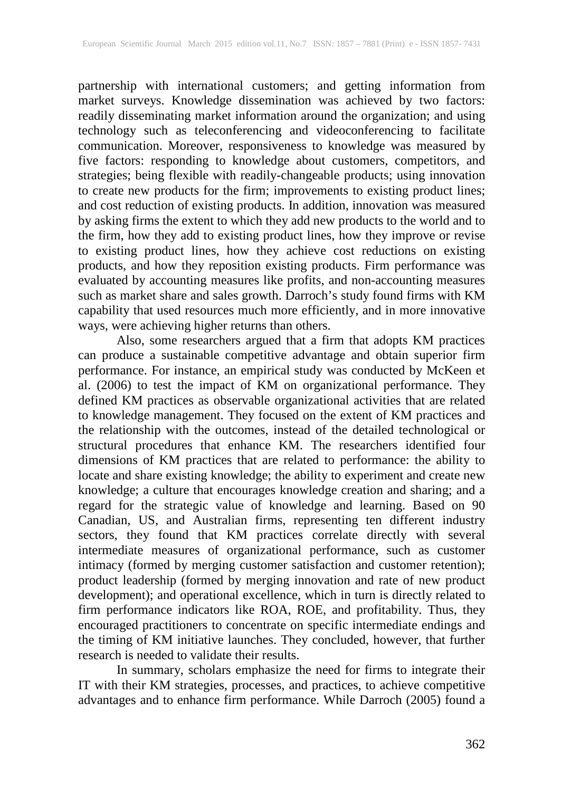partnership with international customers; and getting information from market surveys. Knowledge dissemination was achieved by two factors: readily disseminating market information around the organization; and using technology such as teleconferencing and videoconferencing to facilitate communication. Moreover, responsiveness to knowledge was measured by five factors: responding to knowledge about customers, competitors, and strategies; being flexible with readily-changeable products; using innovation to create new products for the firm; improvements to existing product lines; and cost reduction of existing products. In addition, innovation was measured by asking firms the extent to which they add new products to the world and to the firm, how they add to existing product lines, how they improve or revise to existing product lines, how they achieve cost reductions on existing products, and how they reposition existing products. Firm performance was evaluated by accounting measures like profits, and non-accounting measures such as market share and sales growth. Darroch's study found firms with KM capability that used resources much more efficiently, and in more innovative ways, were achieving higher returns than others.

Also, some researchers argued that a firm that adopts KM practices can produce a sustainable competitive advantage and obtain superior firm performance. For instance, an empirical study was conducted by McKeen et al. (2006) to test the impact of KM on organizational performance. They defined KM practices as observable organizational activities that are related to knowledge management. They focused on the extent of KM practices and the relationship with the outcomes, instead of the detailed technological or structural procedures that enhance KM. The researchers identified four dimensions of KM practices that are related to performance: the ability to locate and share existing knowledge; the ability to experiment and create new knowledge; a culture that encourages knowledge creation and sharing; and a regard for the strategic value of knowledge and learning. Based on 90 Canadian, US, and Australian firms, representing ten different industry sectors, they found that KM practices correlate directly with several intermediate measures of organizational performance, such as customer intimacy (formed by merging customer satisfaction and customer retention); product leadership (formed by merging innovation and rate of new product development); and operational excellence, which in turn is directly related to firm performance indicators like ROA, ROE, and profitability. Thus, they encouraged practitioners to concentrate on specific intermediate endings and the timing of KM initiative launches. They concluded, however, that further research is needed to validate their results.

In summary, scholars emphasize the need for firms to integrate their IT with their KM strategies, processes, and practices, to achieve competitive advantages and to enhance firm performance. While Darroch (2005) found a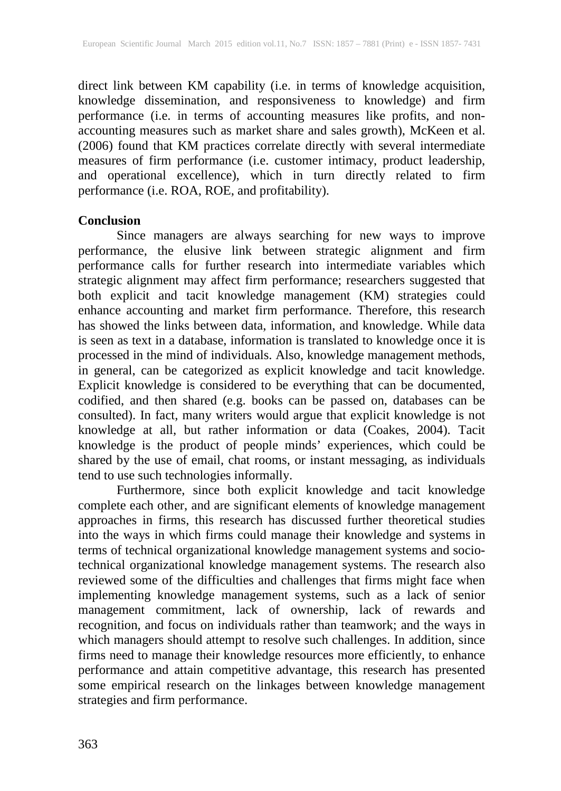direct link between KM capability (i.e. in terms of knowledge acquisition, knowledge dissemination, and responsiveness to knowledge) and firm performance (i.e. in terms of accounting measures like profits, and nonaccounting measures such as market share and sales growth), McKeen et al. (2006) found that KM practices correlate directly with several intermediate measures of firm performance (i.e. customer intimacy, product leadership, and operational excellence), which in turn directly related to firm performance (i.e. ROA, ROE, and profitability).

#### **Conclusion**

Since managers are always searching for new ways to improve performance, the elusive link between strategic alignment and firm performance calls for further research into intermediate variables which strategic alignment may affect firm performance; researchers suggested that both explicit and tacit knowledge management (KM) strategies could enhance accounting and market firm performance. Therefore, this research has showed the links between data, information, and knowledge. While data is seen as text in a database, information is translated to knowledge once it is processed in the mind of individuals. Also, knowledge management methods, in general, can be categorized as explicit knowledge and tacit knowledge. Explicit knowledge is considered to be everything that can be documented, codified, and then shared (e.g. books can be passed on, databases can be consulted). In fact, many writers would argue that explicit knowledge is not knowledge at all, but rather information or data (Coakes, 2004). Tacit knowledge is the product of people minds' experiences, which could be shared by the use of email, chat rooms, or instant messaging, as individuals tend to use such technologies informally.

Furthermore, since both explicit knowledge and tacit knowledge complete each other, and are significant elements of knowledge management approaches in firms, this research has discussed further theoretical studies into the ways in which firms could manage their knowledge and systems in terms of technical organizational knowledge management systems and sociotechnical organizational knowledge management systems. The research also reviewed some of the difficulties and challenges that firms might face when implementing knowledge management systems, such as a lack of senior management commitment, lack of ownership, lack of rewards and recognition, and focus on individuals rather than teamwork; and the ways in which managers should attempt to resolve such challenges. In addition, since firms need to manage their knowledge resources more efficiently, to enhance performance and attain competitive advantage, this research has presented some empirical research on the linkages between knowledge management strategies and firm performance.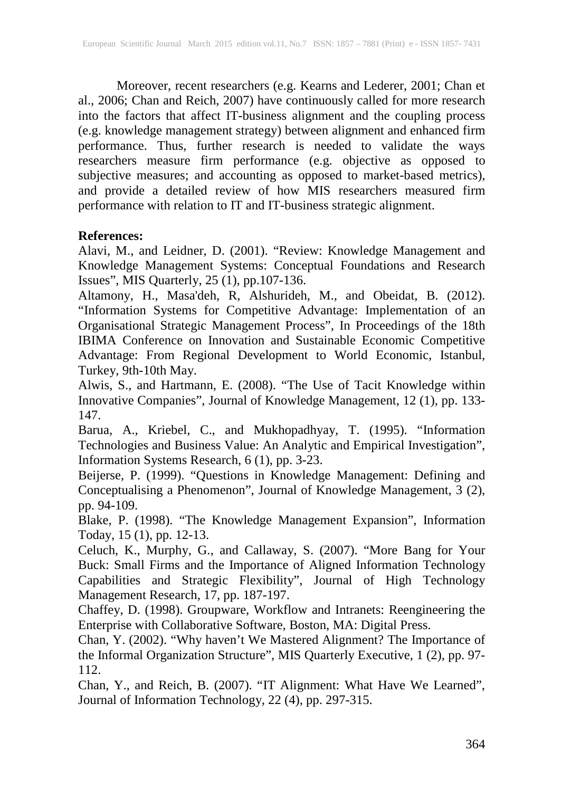Moreover, recent researchers (e.g. Kearns and Lederer, 2001; Chan et al., 2006; Chan and Reich, 2007) have continuously called for more research into the factors that affect IT-business alignment and the coupling process (e.g. knowledge management strategy) between alignment and enhanced firm performance. Thus, further research is needed to validate the ways researchers measure firm performance (e.g. objective as opposed to subjective measures; and accounting as opposed to market-based metrics), and provide a detailed review of how MIS researchers measured firm performance with relation to IT and IT-business strategic alignment.

### **References:**

Alavi, M., and Leidner, D. (2001). "Review: Knowledge Management and Knowledge Management Systems: Conceptual Foundations and Research Issues", MIS Quarterly, 25 (1), pp.107-136.

Altamony, H., Masa'deh, R, Alshurideh, M., and Obeidat, B. (2012). "Information Systems for Competitive Advantage: Implementation of an Organisational Strategic Management Process", In Proceedings of the 18th IBIMA Conference on Innovation and Sustainable Economic Competitive Advantage: From Regional Development to World Economic, Istanbul, Turkey, 9th-10th May.

Alwis, S., and Hartmann, E. (2008). "The Use of Tacit Knowledge within Innovative Companies", Journal of Knowledge Management, 12 (1), pp. 133- 147.

Barua, A., Kriebel, C., and Mukhopadhyay, T. (1995). "Information Technologies and Business Value: An Analytic and Empirical Investigation", Information Systems Research, 6 (1), pp. 3-23.

Beijerse, P. (1999). "Questions in Knowledge Management: Defining and Conceptualising a Phenomenon", Journal of Knowledge Management, 3 (2), pp. 94-109.

Blake, P. (1998). "The Knowledge Management Expansion", Information Today, 15 (1), pp. 12-13.

Celuch, K., Murphy, G., and Callaway, S. (2007). "More Bang for Your Buck: Small Firms and the Importance of Aligned Information Technology Capabilities and Strategic Flexibility", Journal of High Technology Management Research, 17, pp. 187-197.

Chaffey, D. (1998). Groupware, Workflow and Intranets: Reengineering the Enterprise with Collaborative Software, Boston, MA: Digital Press.

Chan, Y. (2002). "Why haven't We Mastered Alignment? The Importance of the Informal Organization Structure", MIS Quarterly Executive, 1 (2), pp. 97- 112.

Chan, Y., and Reich, B. (2007). "IT Alignment: What Have We Learned", Journal of Information Technology, 22 (4), pp. 297-315.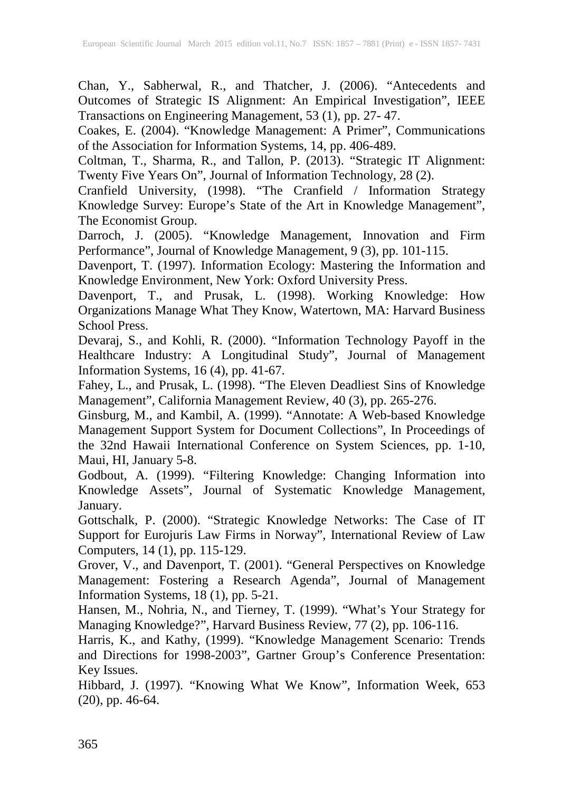Chan, Y., Sabherwal, R., and Thatcher, J. (2006). "Antecedents and Outcomes of Strategic IS Alignment: An Empirical Investigation", IEEE Transactions on Engineering Management, 53 (1), pp. 27- 47.

Coakes, E. (2004). "Knowledge Management: A Primer", Communications of the Association for Information Systems, 14, pp. 406-489.

Coltman, T., Sharma, R., and Tallon, P. (2013). "Strategic IT Alignment: Twenty Five Years On", Journal of Information Technology, 28 (2).

Cranfield University, (1998). "The Cranfield / Information Strategy Knowledge Survey: Europe's State of the Art in Knowledge Management", The Economist Group.

Darroch, J. (2005). "Knowledge Management, Innovation and Firm Performance", Journal of Knowledge Management, 9 (3), pp. 101-115.

Davenport, T. (1997). Information Ecology: Mastering the Information and Knowledge Environment, New York: Oxford University Press.

Davenport, T., and Prusak, L. (1998). Working Knowledge: How Organizations Manage What They Know, Watertown, MA: Harvard Business School Press.

Devaraj, S., and Kohli, R. (2000). "Information Technology Payoff in the Healthcare Industry: A Longitudinal Study", Journal of Management Information Systems, 16 (4), pp. 41-67.

Fahey, L., and Prusak, L. (1998). "The Eleven Deadliest Sins of Knowledge Management", California Management Review, 40 (3), pp. 265-276.

Ginsburg, M., and Kambil, A. (1999). "Annotate: A Web-based Knowledge Management Support System for Document Collections", In Proceedings of the 32nd Hawaii International Conference on System Sciences, pp. 1-10, Maui, HI, January 5-8.

Godbout, A. (1999). "Filtering Knowledge: Changing Information into Knowledge Assets", Journal of Systematic Knowledge Management, January.

Gottschalk, P. (2000). "Strategic Knowledge Networks: The Case of IT Support for Eurojuris Law Firms in Norway", International Review of Law Computers, 14 (1), pp. 115-129.

Grover, V., and Davenport, T. (2001). "General Perspectives on Knowledge Management: Fostering a Research Agenda", Journal of Management Information Systems,  $18(1)$ , pp. 5-21.

Hansen, M., Nohria, N., and Tierney, T. (1999). "What's Your Strategy for Managing Knowledge?", Harvard Business Review, 77 (2), pp. 106-116.

Harris, K., and Kathy, (1999). "Knowledge Management Scenario: Trends and Directions for 1998-2003", Gartner Group's Conference Presentation: Key Issues.

Hibbard, J. (1997). "Knowing What We Know", Information Week, 653 (20), pp. 46-64.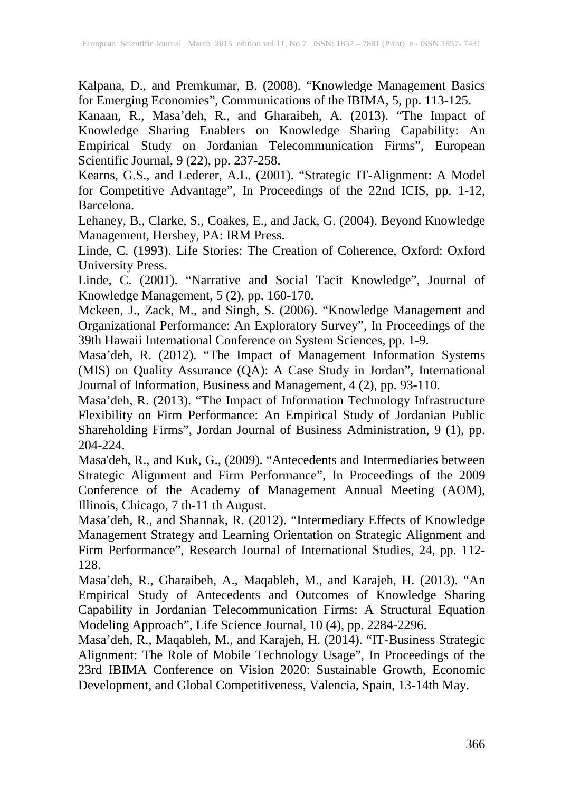Kalpana, D., and Premkumar, B. (2008). "Knowledge Management Basics for Emerging Economies", Communications of the IBIMA, 5, pp. 113-125.

Kanaan, R., Masa'deh, R., and Gharaibeh, A. (2013). "The Impact of Knowledge Sharing Enablers on Knowledge Sharing Capability: An Empirical Study on Jordanian Telecommunication Firms", European Scientific Journal, 9 (22), pp. 237-258.

Kearns, G.S., and Lederer, A.L. (2001). "Strategic IT-Alignment: A Model for Competitive Advantage", In Proceedings of the 22nd ICIS, pp. 1-12, Barcelona.

Lehaney, B., Clarke, S., Coakes, E., and Jack, G. (2004). Beyond Knowledge Management, Hershey, PA: IRM Press.

Linde, C. (1993). Life Stories: The Creation of Coherence, Oxford: Oxford University Press.

Linde, C. (2001). "Narrative and Social Tacit Knowledge", Journal of Knowledge Management, 5 (2), pp. 160-170.

Mckeen, J., Zack, M., and Singh, S. (2006). "Knowledge Management and Organizational Performance: An Exploratory Survey", In Proceedings of the 39th Hawaii International Conference on System Sciences, pp. 1-9.

Masa'deh, R. (2012). "The Impact of Management Information Systems (MIS) on Quality Assurance (QA): A Case Study in Jordan", International Journal of Information, Business and Management, 4 (2), pp. 93-110.

Masa'deh, R. (2013). "The Impact of Information Technology Infrastructure Flexibility on Firm Performance: An Empirical Study of Jordanian Public Shareholding Firms", Jordan Journal of Business Administration, 9 (1), pp. 204-224.

Masa'deh, R., and Kuk, G., (2009). "Antecedents and Intermediaries between Strategic Alignment and Firm Performance", In Proceedings of the 2009 Conference of the Academy of Management Annual Meeting (AOM), Illinois, Chicago, 7 th-11 th August.

Masa'deh, R., and Shannak, R. (2012). "Intermediary Effects of Knowledge Management Strategy and Learning Orientation on Strategic Alignment and Firm Performance", Research Journal of International Studies, 24, pp. 112-128.

Masa'deh, R., Gharaibeh, A., Maqableh, M., and Karajeh, H. (2013). "An Empirical Study of Antecedents and Outcomes of Knowledge Sharing Capability in Jordanian Telecommunication Firms: A Structural Equation Modeling Approach", Life Science Journal, 10 (4), pp. 2284-2296.

Masa'deh, R., Maqableh, M., and Karajeh, H. (2014). "IT-Business Strategic Alignment: The Role of Mobile Technology Usage", In Proceedings of the 23rd IBIMA Conference on Vision 2020: Sustainable Growth, Economic Development, and Global Competitiveness, Valencia, Spain, 13-14th May.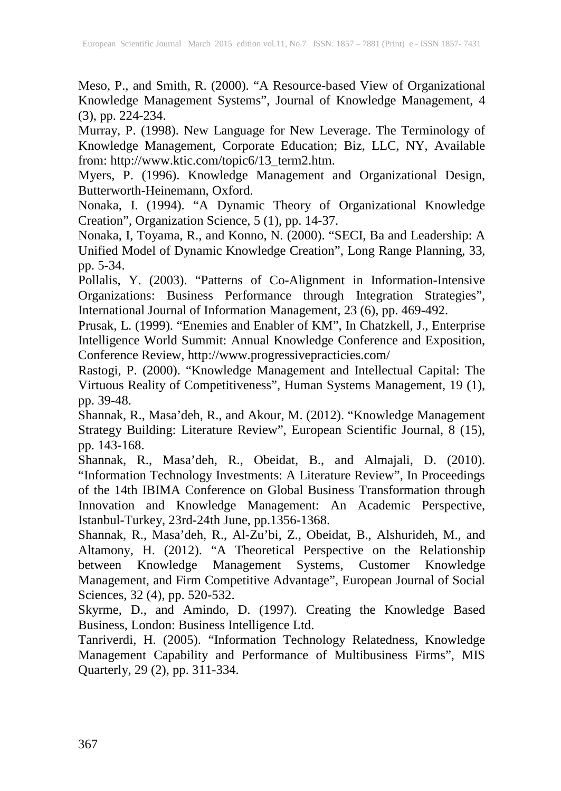Meso, P., and Smith, R. (2000). "A Resource-based View of Organizational Knowledge Management Systems", Journal of Knowledge Management, 4 (3), pp. 224-234.

Murray, P. (1998). New Language for New Leverage. The Terminology of Knowledge Management, Corporate Education; Biz, LLC, NY, Available from: http://www.ktic.com/topic6/13\_term2.htm.

Myers, P. (1996). Knowledge Management and Organizational Design, Butterworth-Heinemann, Oxford.

Nonaka, I. (1994). "A Dynamic Theory of Organizational Knowledge Creation", Organization Science, 5 (1), pp. 14-37.

Nonaka, I, Toyama, R., and Konno, N. (2000). "SECI, Ba and Leadership: A Unified Model of Dynamic Knowledge Creation", Long Range Planning, 33, pp. 5-34.

Pollalis, Y. (2003). "Patterns of Co-Alignment in Information-Intensive Organizations: Business Performance through Integration Strategies", International Journal of Information Management, 23 (6), pp. 469-492.

Prusak, L. (1999). "Enemies and Enabler of KM", In Chatzkell, J., Enterprise Intelligence World Summit: Annual Knowledge Conference and Exposition, Conference Review, http://www.progressivepracticies.com/

Rastogi, P. (2000). "Knowledge Management and Intellectual Capital: The Virtuous Reality of Competitiveness", Human Systems Management, 19 (1), pp. 39-48.

Shannak, R., Masa'deh, R., and Akour, M. (2012). "Knowledge Management Strategy Building: Literature Review", European Scientific Journal, 8 (15), pp. 143-168.

Shannak, R., Masa'deh, R., Obeidat, B., and Almajali, D. (2010). "Information Technology Investments: A Literature Review", In Proceedings of the 14th IBIMA Conference on Global Business Transformation through Innovation and Knowledge Management: An Academic Perspective, Istanbul-Turkey, 23rd-24th June, pp.1356-1368.

Shannak, R., Masa'deh, R., Al-Zu'bi, Z., Obeidat, B., Alshurideh, M., and Altamony, H. (2012). "A Theoretical Perspective on the Relationship between Knowledge Management Systems, Customer Knowledge Management, and Firm Competitive Advantage", European Journal of Social Sciences, 32 (4), pp. 520-532.

Skyrme, D., and Amindo, D. (1997). Creating the Knowledge Based Business, London: Business Intelligence Ltd.

Tanriverdi, H. (2005). "Information Technology Relatedness, Knowledge Management Capability and Performance of Multibusiness Firms", MIS Quarterly, 29 (2), pp. 311-334.